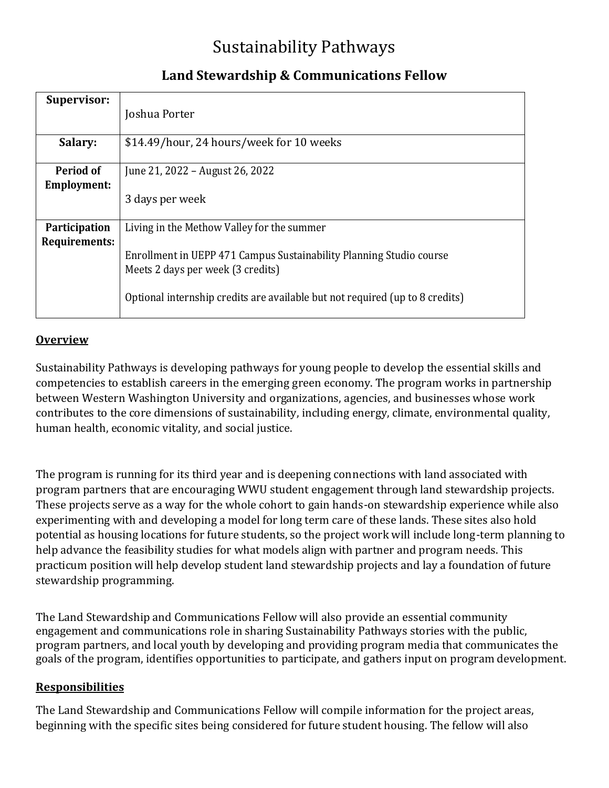# Sustainability Pathways

| <b>Supervisor:</b>                     | Joshua Porter                                                                                            |
|----------------------------------------|----------------------------------------------------------------------------------------------------------|
| Salary:                                | \$14.49/hour, 24 hours/week for 10 weeks                                                                 |
| <b>Period of</b><br><b>Employment:</b> | June 21, 2022 – August 26, 2022                                                                          |
|                                        | 3 days per week                                                                                          |
| <b>Participation</b><br>Requirements:  | Living in the Methow Valley for the summer                                                               |
|                                        | Enrollment in UEPP 471 Campus Sustainability Planning Studio course<br>Meets 2 days per week (3 credits) |
|                                        | Optional internship credits are available but not required (up to 8 credits)                             |

## **Land Stewardship & Communications Fellow**

#### **Overview**

Sustainability Pathways is developing pathways for young people to develop the essential skills and competencies to establish careers in the emerging green economy. The program works in partnership between Western Washington University and organizations, agencies, and businesses whose work contributes to the core dimensions of sustainability, including energy, climate, environmental quality, human health, economic vitality, and social justice.

The program is running for its third year and is deepening connections with land associated with program partners that are encouraging WWU student engagement through land stewardship projects. These projects serve as a way for the whole cohort to gain hands-on stewardship experience while also experimenting with and developing a model for long term care of these lands. These sites also hold potential as housing locations for future students, so the project work will include long-term planning to help advance the feasibility studies for what models align with partner and program needs. This practicum position will help develop student land stewardship projects and lay a foundation of future stewardship programming.

The Land Stewardship and Communications Fellow will also provide an essential community engagement and communications role in sharing Sustainability Pathways stories with the public, program partners, and local youth by developing and providing program media that communicates the goals of the program, identifies opportunities to participate, and gathers input on program development.

#### **Responsibilities**

The Land Stewardship and Communications Fellow will compile information for the project areas, beginning with the specific sites being considered for future student housing. The fellow will also